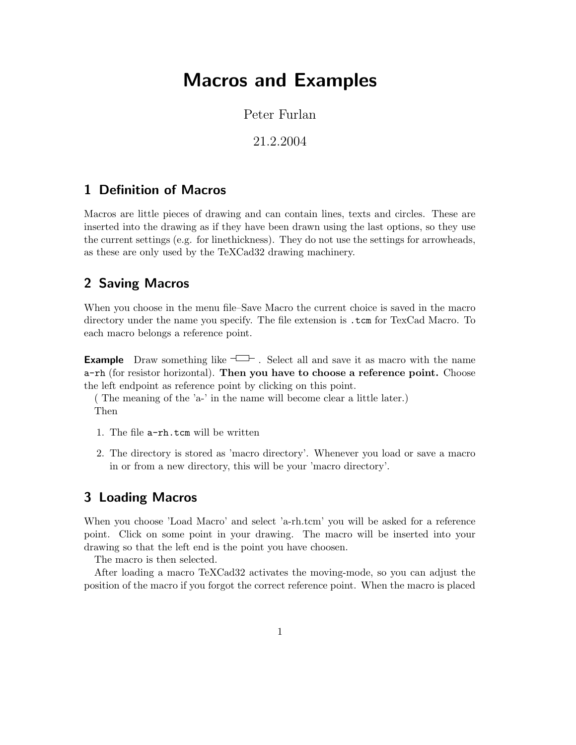# Macros and Examples

Peter Furlan

21.2.2004

### 1 Definition of Macros

Macros are little pieces of drawing and can contain lines, texts and circles. These are inserted into the drawing as if they have been drawn using the last options, so they use the current settings (e.g. for linethickness). They do not use the settings for arrowheads, as these are only used by the TeXCad32 drawing machinery.

#### 2 Saving Macros

When you choose in the menu file–Save Macro the current choice is saved in the macro directory under the name you specify. The file extension is .tcm for TexCad Macro. To each macro belongs a reference point.

**Example** Draw something like  $\Box$ . Select all and save it as macro with the name a-rh (for resistor horizontal). Then you have to choose a reference point. Choose the left endpoint as reference point by clicking on this point.

( The meaning of the 'a-' in the name will become clear a little later.) Then

- 1. The file a-rh.tcm will be written
- 2. The directory is stored as 'macro directory'. Whenever you load or save a macro in or from a new directory, this will be your 'macro directory'.

#### 3 Loading Macros

When you choose 'Load Macro' and select 'a-rh.tcm' you will be asked for a reference point. Click on some point in your drawing. The macro will be inserted into your drawing so that the left end is the point you have choosen.

The macro is then selected.

After loading a macro TeXCad32 activates the moving-mode, so you can adjust the position of the macro if you forgot the correct reference point. When the macro is placed